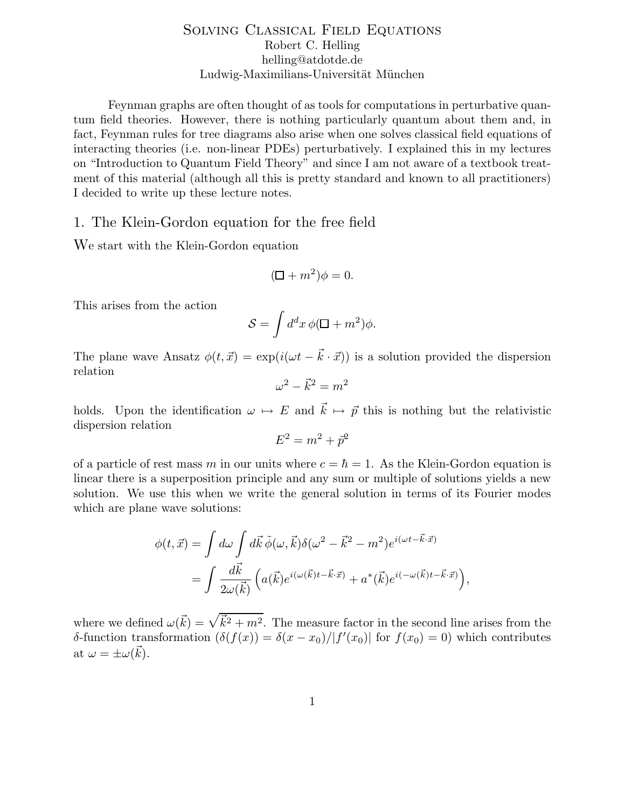# Solving Classical Field Equations Robert C. Helling helling@atdotde.de Ludwig-Maximilians-Universität München

Feynman graphs are often thought of as tools for computations in perturbative quantum field theories. However, there is nothing particularly quantum about them and, in fact, Feynman rules for tree diagrams also arise when one solves classical field equations of interacting theories (i.e. non-linear PDEs) perturbatively. I explained this in my lectures on "Introduction to Quantum Field Theory" and since I am not aware of a textbook treatment of this material (although all this is pretty standard and known to all practitioners) I decided to write up these lecture notes.

### 1. The Klein-Gordon equation for the free field

We start with the Klein-Gordon equation

$$
(\Box + m^2)\phi = 0.
$$

This arises from the action

$$
S = \int d^d x \, \phi(\Box + m^2)\phi.
$$

The plane wave Ansatz  $\phi(t,\vec{x}) = \exp(i(\omega t - \vec{k} \cdot \vec{x}))$  is a solution provided the dispersion relation

$$
\omega^2 - \vec{k}^2 = m^2
$$

holds. Upon the identification  $\omega \mapsto E$  and  $\vec{k} \mapsto \vec{p}$  this is nothing but the relativistic dispersion relation

$$
E^2 = m^2 + \vec{p}^2
$$

of a particle of rest mass m in our units where  $c = \hbar = 1$ . As the Klein-Gordon equation is linear there is a superposition principle and any sum or multiple of solutions yields a new solution. We use this when we write the general solution in terms of its Fourier modes which are plane wave solutions:

$$
\phi(t, \vec{x}) = \int d\omega \int d\vec{k} \,\tilde{\phi}(\omega, \vec{k}) \delta(\omega^2 - \vec{k}^2 - m^2) e^{i(\omega t - \vec{k} \cdot \vec{x})}
$$
  
= 
$$
\int \frac{d\vec{k}}{2\omega(\vec{k})} \left( a(\vec{k}) e^{i(\omega(\vec{k})t - \vec{k} \cdot \vec{x})} + a^*(\vec{k}) e^{i(-\omega(\vec{k})t - \vec{k} \cdot \vec{x})} \right),
$$

where we defined  $\omega(\vec{k}) = \sqrt{\vec{k}^2 + m^2}$ . The measure factor in the second line arises from the δ-function transformation  $(\delta(f(x)) = \delta(x - x_0) / |f'(x_0)|$  for  $f(x_0) = 0$ ) which contributes at  $\omega = \pm \omega(\vec{k}).$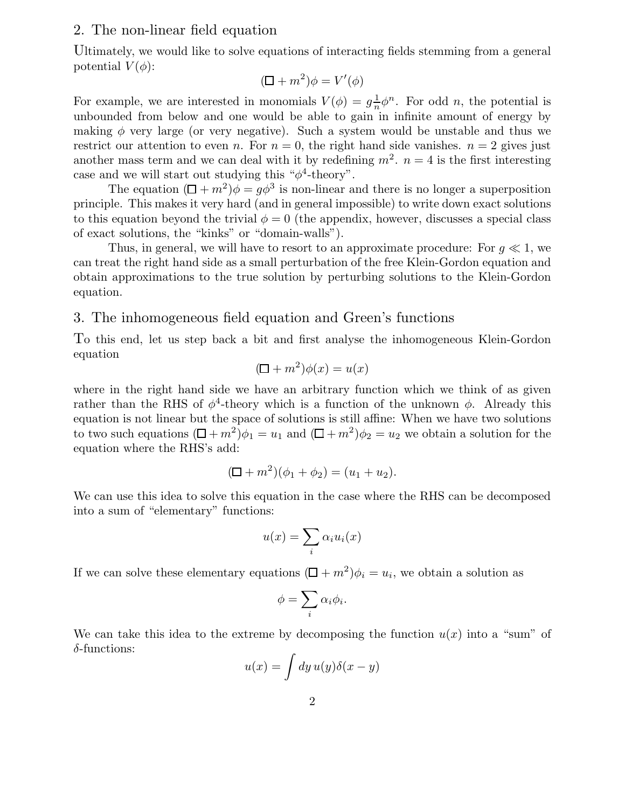## 2. The non-linear field equation

Ultimately, we would like to solve equations of interacting fields stemming from a general potential  $V(\phi)$ :

$$
(\Box + m^2)\phi = V'(\phi)
$$

For example, we are interested in monomials  $V(\phi) = g\frac{1}{n}$  $\frac{1}{n}\phi^n$ . For odd *n*, the potential is unbounded from below and one would be able to gain in infinite amount of energy by making  $\phi$  very large (or very negative). Such a system would be unstable and thus we restrict our attention to even n. For  $n = 0$ , the right hand side vanishes.  $n = 2$  gives just another mass term and we can deal with it by redefining  $m^2$ .  $n = 4$  is the first interesting case and we will start out studying this " $\phi^4$ -theory".

The equation  $(\Box + m^2)\phi = g\phi^3$  is non-linear and there is no longer a superposition principle. This makes it very hard (and in general impossible) to write down exact solutions to this equation beyond the trivial  $\phi = 0$  (the appendix, however, discusses a special class of exact solutions, the "kinks" or "domain-walls").

Thus, in general, we will have to resort to an approximate procedure: For  $q \ll 1$ , we can treat the right hand side as a small perturbation of the free Klein-Gordon equation and obtain approximations to the true solution by perturbing solutions to the Klein-Gordon equation.

## 3. The inhomogeneous field equation and Green's functions

To this end, let us step back a bit and first analyse the inhomogeneous Klein-Gordon equation

$$
(\Box + m^2)\phi(x) = u(x)
$$

where in the right hand side we have an arbitrary function which we think of as given rather than the RHS of  $\phi^4$ -theory which is a function of the unknown  $\phi$ . Already this equation is not linear but the space of solutions is still affine: When we have two solutions to two such equations  $(\Box + m^2)\phi_1 = u_1$  and  $(\Box + m^2)\phi_2 = u_2$  we obtain a solution for the equation where the RHS's add:

$$
(\Box + m^2)(\phi_1 + \phi_2) = (u_1 + u_2).
$$

We can use this idea to solve this equation in the case where the RHS can be decomposed into a sum of "elementary" functions:

$$
u(x) = \sum_{i} \alpha_i u_i(x)
$$

If we can solve these elementary equations  $(\Box + m^2)\phi_i = u_i$ , we obtain a solution as

$$
\phi = \sum_i \alpha_i \phi_i.
$$

We can take this idea to the extreme by decomposing the function  $u(x)$  into a "sum" of  $\delta$ -functions:

$$
u(x) = \int dy \, u(y) \delta(x - y)
$$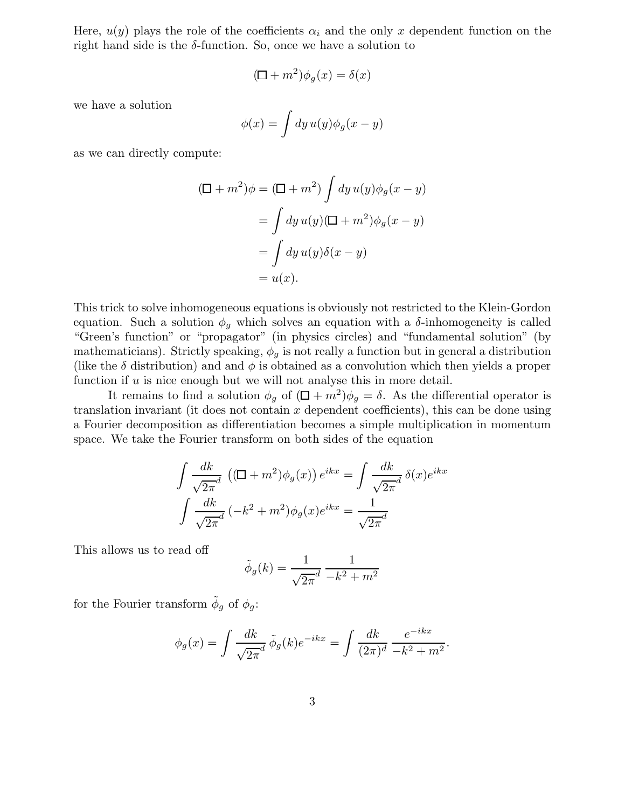Here,  $u(y)$  plays the role of the coefficients  $\alpha_i$  and the only x dependent function on the right hand side is the  $\delta$ -function. So, once we have a solution to

$$
(\Box + m^2)\phi_g(x) = \delta(x)
$$

we have a solution

$$
\phi(x) = \int dy \, u(y) \phi_g(x - y)
$$

as we can directly compute:

$$
(\Box + m^2)\phi = (\Box + m^2) \int dy \, u(y)\phi_g(x - y)
$$

$$
= \int dy \, u(y)(\Box + m^2)\phi_g(x - y)
$$

$$
= \int dy \, u(y)\delta(x - y)
$$

$$
= u(x).
$$

This trick to solve inhomogeneous equations is obviously not restricted to the Klein-Gordon equation. Such a solution  $\phi_g$  which solves an equation with a  $\delta$ -inhomogeneity is called "Green's function" or "propagator" (in physics circles) and "fundamental solution" (by mathematicians). Strictly speaking,  $\phi_g$  is not really a function but in general a distribution (like the  $\delta$  distribution) and and  $\phi$  is obtained as a convolution which then yields a proper function if  $u$  is nice enough but we will not analyse this in more detail.

It remains to find a solution  $\phi_g$  of  $(\Box + m^2)\phi_g = \delta$ . As the differential operator is translation invariant (it does not contain  $x$  dependent coefficients), this can be done using a Fourier decomposition as differentiation becomes a simple multiplication in momentum space. We take the Fourier transform on both sides of the equation

$$
\int \frac{dk}{\sqrt{2\pi^d}} \left( (\Box + m^2) \phi_g(x) \right) e^{ikx} = \int \frac{dk}{\sqrt{2\pi^d}} \delta(x) e^{ikx}
$$

$$
\int \frac{dk}{\sqrt{2\pi^d}} \left( -k^2 + m^2 \right) \phi_g(x) e^{ikx} = \frac{1}{\sqrt{2\pi^d}}
$$

This allows us to read off

$$
\tilde{\phi}_g(k) = \frac{1}{\sqrt{2\pi}^d} \frac{1}{-k^2 + m^2}
$$

for the Fourier transform  $\tilde{\phi}_g$  of  $\phi_g$ :

$$
\phi_g(x) = \int \frac{dk}{\sqrt{2\pi}} \tilde{\phi}_g(k) e^{-ikx} = \int \frac{dk}{(2\pi)^d} \frac{e^{-ikx}}{-k^2 + m^2}.
$$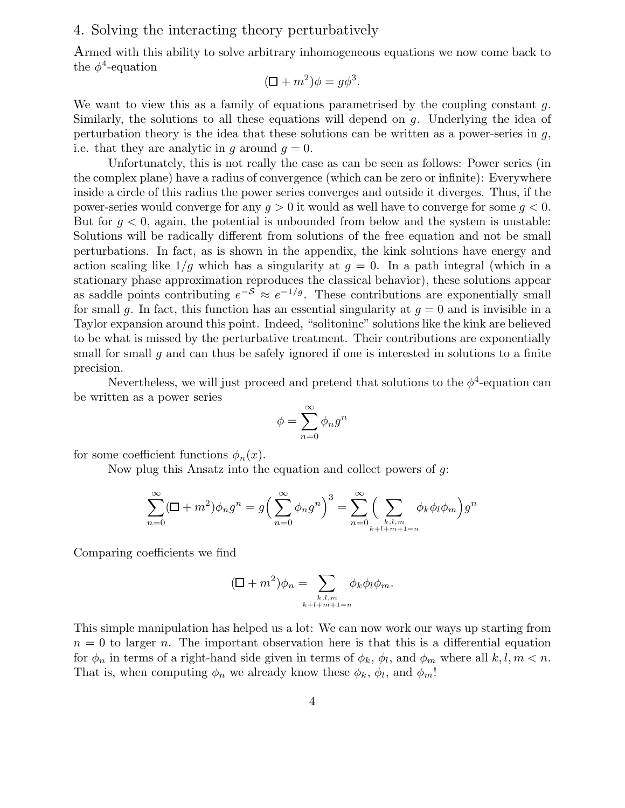### 4. Solving the interacting theory perturbatively

Armed with this ability to solve arbitrary inhomogeneous equations we now come back to the  $\phi^4$ -equation

$$
(\Box + m^2)\phi = g\phi^3.
$$

We want to view this as a family of equations parametrised by the coupling constant  $q$ . Similarly, the solutions to all these equations will depend on g. Underlying the idea of perturbation theory is the idea that these solutions can be written as a power-series in  $q$ , i.e. that they are analytic in g around  $q = 0$ .

Unfortunately, this is not really the case as can be seen as follows: Power series (in the complex plane) have a radius of convergence (which can be zero or infinite): Everywhere inside a circle of this radius the power series converges and outside it diverges. Thus, if the power-series would converge for any  $g > 0$  it would as well have to converge for some  $g < 0$ . But for  $q < 0$ , again, the potential is unbounded from below and the system is unstable: Solutions will be radically different from solutions of the free equation and not be small perturbations. In fact, as is shown in the appendix, the kink solutions have energy and action scaling like  $1/q$  which has a singularity at  $q = 0$ . In a path integral (which in a stationary phase approximation reproduces the classical behavior), these solutions appear as saddle points contributing  $e^{-S} \approx e^{-1/g}$ . These contributions are exponentially small for small g. In fact, this function has an essential singularity at  $q = 0$  and is invisible in a Taylor expansion around this point. Indeed, "solitoninc" solutions like the kink are believed to be what is missed by the perturbative treatment. Their contributions are exponentially small for small  $g$  and can thus be safely ignored if one is interested in solutions to a finite precision.

Nevertheless, we will just proceed and pretend that solutions to the  $\phi^4$ -equation can be written as a power series

$$
\phi = \sum_{n=0}^{\infty} \phi_n g^n
$$

for some coefficient functions  $\phi_n(x)$ .

Now plug this Ansatz into the equation and collect powers of g:

$$
\sum_{n=0}^{\infty} (\Box + m^2) \phi_n g^n = g \left( \sum_{n=0}^{\infty} \phi_n g^n \right)^3 = \sum_{n=0}^{\infty} \left( \sum_{k,l,m \atop k+l+m+l=n} \phi_k \phi_l \phi_m \right) g^n
$$

Comparing coefficients we find

$$
(\Box + m^2)\phi_n = \sum_{\substack{k,l,m\\k+l+m+1=n}} \phi_k \phi_l \phi_m.
$$

This simple manipulation has helped us a lot: We can now work our ways up starting from  $n = 0$  to larger n. The important observation here is that this is a differential equation for  $\phi_n$  in terms of a right-hand side given in terms of  $\phi_k$ ,  $\phi_l$ , and  $\phi_m$  where all  $k, l, m < n$ . That is, when computing  $\phi_n$  we already know these  $\phi_k$ ,  $\phi_l$ , and  $\phi_m$ !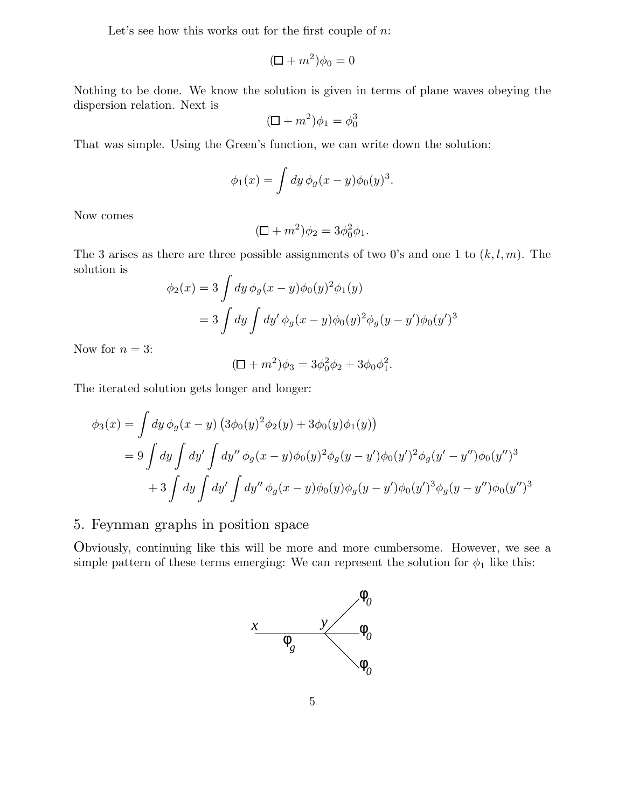Let's see how this works out for the first couple of  $n$ :

$$
(\Box + m^2)\phi_0 = 0
$$

Nothing to be done. We know the solution is given in terms of plane waves obeying the dispersion relation. Next is

$$
(\Box + m^2)\phi_1 = \phi_0^3
$$

That was simple. Using the Green's function, we can write down the solution:

$$
\phi_1(x) = \int dy \, \phi_g(x - y) \phi_0(y)^3.
$$

Now comes

$$
(\Box + m^2)\phi_2 = 3\phi_0^2\phi_1.
$$

The 3 arises as there are three possible assignments of two 0's and one 1 to  $(k, l, m)$ . The solution is  $\mathbf{r}$ 

$$
\phi_2(x) = 3 \int dy \, \phi_g(x - y) \phi_0(y)^2 \phi_1(y)
$$
  
=  $3 \int dy \int dy' \, \phi_g(x - y) \phi_0(y)^2 \phi_g(y - y') \phi_0(y')^3$ 

Now for  $n = 3$ :

$$
(\Box + m^2)\phi_3 = 3\phi_0^2\phi_2 + 3\phi_0\phi_1^2.
$$

The iterated solution gets longer and longer:

$$
\phi_3(x) = \int dy \, \phi_g(x - y) \left(3\phi_0(y)^2 \phi_2(y) + 3\phi_0(y)\phi_1(y)\right)
$$
  
=  $9 \int dy \int dy' \int dy'' \, \phi_g(x - y) \phi_0(y)^2 \phi_g(y - y') \phi_0(y')^2 \phi_g(y' - y'') \phi_0(y'')^3$   
+  $3 \int dy \int dy' \int dy'' \, \phi_g(x - y) \phi_0(y) \phi_g(y - y') \phi_0(y')^3 \phi_g(y - y'') \phi_0(y'')^3$ 

## 5. Feynman graphs in position space

Obviously, continuing like this will be more and more cumbersome. However, we see a simple pattern of these terms emerging: We can represent the solution for  $\phi_1$  like this:

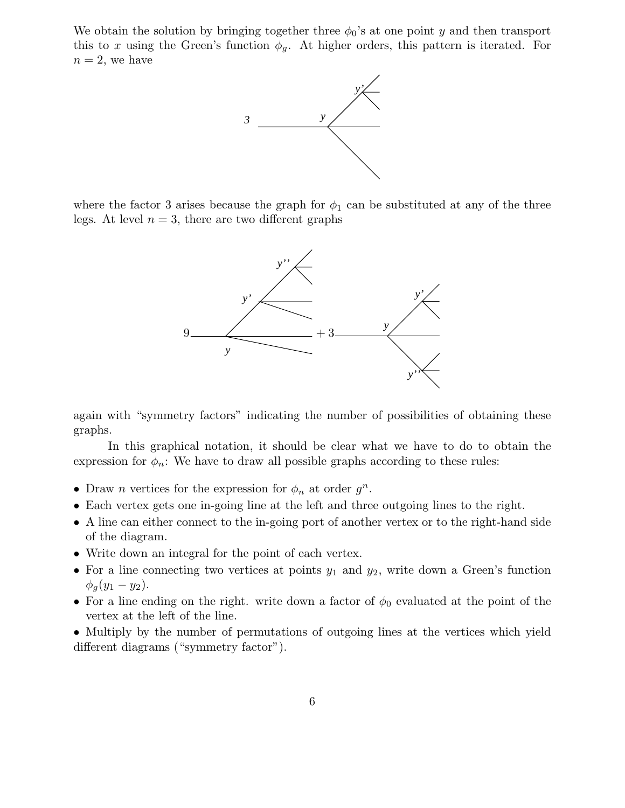We obtain the solution by bringing together three  $\phi_0$ 's at one point y and then transport this to x using the Green's function  $\phi_q$ . At higher orders, this pattern is iterated. For  $n = 2$ , we have



where the factor 3 arises because the graph for  $\phi_1$  can be substituted at any of the three legs. At level  $n = 3$ , there are two different graphs



again with "symmetry factors" indicating the number of possibilities of obtaining these graphs.

In this graphical notation, it should be clear what we have to do to obtain the expression for  $\phi_n$ : We have to draw all possible graphs according to these rules:

- Draw *n* vertices for the expression for  $\phi_n$  at order  $g^n$ .
- Each vertex gets one in-going line at the left and three outgoing lines to the right.
- A line can either connect to the in-going port of another vertex or to the right-hand side of the diagram.
- Write down an integral for the point of each vertex.
- For a line connecting two vertices at points  $y_1$  and  $y_2$ , write down a Green's function  $\phi_q(y_1 - y_2)$ .
- For a line ending on the right. write down a factor of  $\phi_0$  evaluated at the point of the vertex at the left of the line.

• Multiply by the number of permutations of outgoing lines at the vertices which yield different diagrams ("symmetry factor").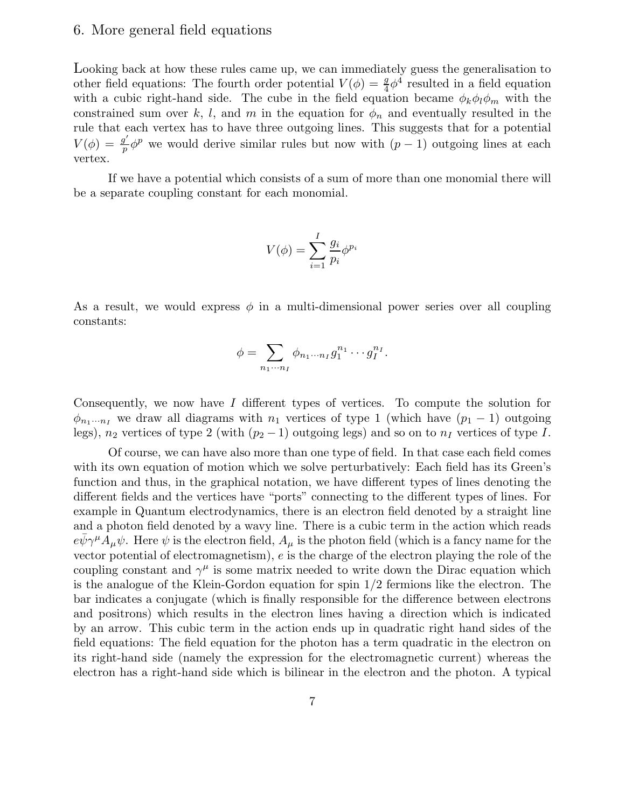## 6. More general field equations

Looking back at how these rules came up, we can immediately guess the generalisation to other field equations: The fourth order potential  $V(\phi) = \frac{g}{4}\phi^4$  resulted in a field equation with a cubic right-hand side. The cube in the field equation became  $\phi_k \phi_l \phi_m$  with the constrained sum over k, l, and m in the equation for  $\phi_n$  and eventually resulted in the rule that each vertex has to have three outgoing lines. This suggests that for a potential  $V(\phi) = \frac{g'}{n}$  $\frac{q'}{p}\phi^p$  we would derive similar rules but now with  $(p-1)$  outgoing lines at each vertex.

If we have a potential which consists of a sum of more than one monomial there will be a separate coupling constant for each monomial.

$$
V(\phi) = \sum_{i=1}^{I} \frac{g_i}{p_i} \phi^{p_i}
$$

As a result, we would express  $\phi$  in a multi-dimensional power series over all coupling constants:

$$
\phi = \sum_{n_1 \cdots n_I} \phi_{n_1 \cdots n_I} g_1^{n_1} \cdots g_I^{n_I}.
$$

Consequently, we now have I different types of vertices. To compute the solution for  $\phi_{n_1\cdots n_l}$  we draw all diagrams with  $n_1$  vertices of type 1 (which have  $(p_1 - 1)$  outgoing legs),  $n_2$  vertices of type 2 (with  $(p_2 - 1)$  outgoing legs) and so on to  $n<sub>I</sub>$  vertices of type I.

Of course, we can have also more than one type of field. In that case each field comes with its own equation of motion which we solve perturbatively: Each field has its Green's function and thus, in the graphical notation, we have different types of lines denoting the different fields and the vertices have "ports" connecting to the different types of lines. For example in Quantum electrodynamics, there is an electron field denoted by a straight line and a photon field denoted by a wavy line. There is a cubic term in the action which reads  $e\psi\gamma^{\mu}A_{\mu}\psi$ . Here  $\psi$  is the electron field,  $A_{\mu}$  is the photon field (which is a fancy name for the vector potential of electromagnetism), e is the charge of the electron playing the role of the coupling constant and  $\gamma^{\mu}$  is some matrix needed to write down the Dirac equation which is the analogue of the Klein-Gordon equation for spin 1/2 fermions like the electron. The bar indicates a conjugate (which is finally responsible for the difference between electrons and positrons) which results in the electron lines having a direction which is indicated by an arrow. This cubic term in the action ends up in quadratic right hand sides of the field equations: The field equation for the photon has a term quadratic in the electron on its right-hand side (namely the expression for the electromagnetic current) whereas the electron has a right-hand side which is bilinear in the electron and the photon. A typical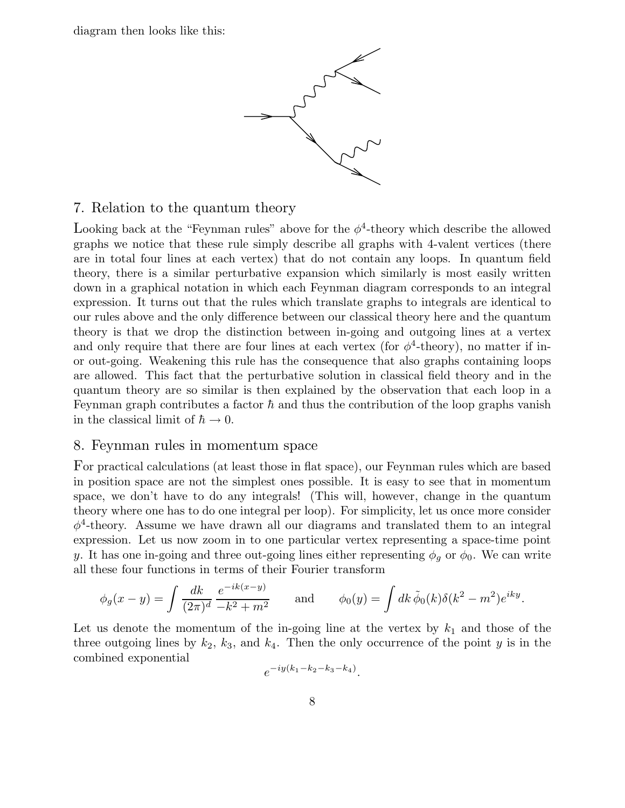diagram then looks like this:



### 7. Relation to the quantum theory

Looking back at the "Feynman rules" above for the  $\phi^4$ -theory which describe the allowed graphs we notice that these rule simply describe all graphs with 4-valent vertices (there are in total four lines at each vertex) that do not contain any loops. In quantum field theory, there is a similar perturbative expansion which similarly is most easily written down in a graphical notation in which each Feynman diagram corresponds to an integral expression. It turns out that the rules which translate graphs to integrals are identical to our rules above and the only difference between our classical theory here and the quantum theory is that we drop the distinction between in-going and outgoing lines at a vertex and only require that there are four lines at each vertex (for  $\phi^4$ -theory), no matter if inor out-going. Weakening this rule has the consequence that also graphs containing loops are allowed. This fact that the perturbative solution in classical field theory and in the quantum theory are so similar is then explained by the observation that each loop in a Feynman graph contributes a factor  $\hbar$  and thus the contribution of the loop graphs vanish in the classical limit of  $\hbar \to 0$ .

## 8. Feynman rules in momentum space

For practical calculations (at least those in flat space), our Feynman rules which are based in position space are not the simplest ones possible. It is easy to see that in momentum space, we don't have to do any integrals! (This will, however, change in the quantum theory where one has to do one integral per loop). For simplicity, let us once more consider  $\phi^4$ -theory. Assume we have drawn all our diagrams and translated them to an integral expression. Let us now zoom in to one particular vertex representing a space-time point y. It has one in-going and three out-going lines either representing  $\phi_q$  or  $\phi_0$ . We can write all these four functions in terms of their Fourier transform

$$
\phi_g(x - y) = \int \frac{dk}{(2\pi)^d} \frac{e^{-ik(x-y)}}{-k^2 + m^2}
$$
 and  $\phi_0(y) = \int dk \, \tilde{\phi}_0(k) \delta(k^2 - m^2) e^{iky}.$ 

Let us denote the momentum of the in-going line at the vertex by  $k_1$  and those of the three outgoing lines by  $k_2$ ,  $k_3$ , and  $k_4$ . Then the only occurrence of the point y is in the combined exponential

$$
e^{-iy(k_1-k_2-k_3-k_4)}
$$
.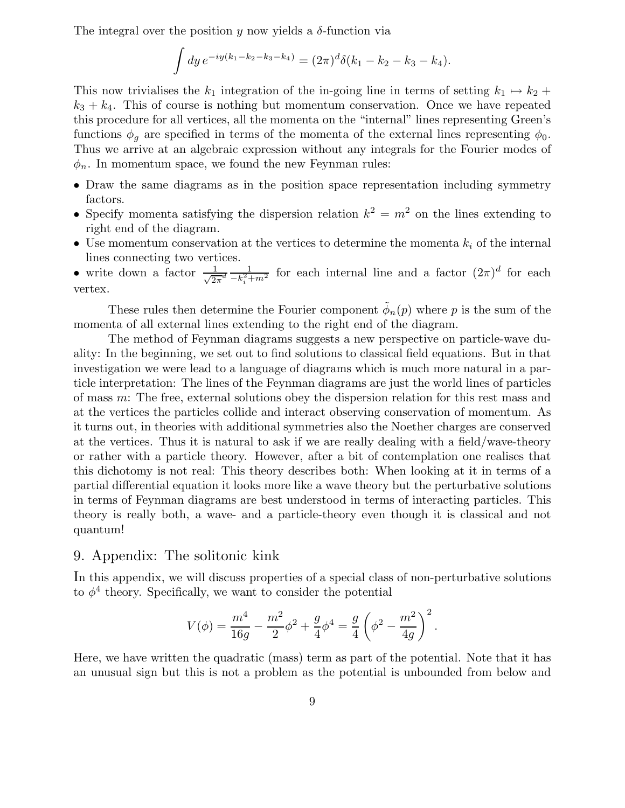The integral over the position y now yields a  $\delta$ -function via

$$
\int dy e^{-iy(k_1-k_2-k_3-k_4)} = (2\pi)^d \delta(k_1-k_2-k_3-k_4).
$$

This now trivialises the  $k_1$  integration of the in-going line in terms of setting  $k_1 \mapsto k_2 +$  $k_3 + k_4$ . This of course is nothing but momentum conservation. Once we have repeated this procedure for all vertices, all the momenta on the "internal" lines representing Green's functions  $\phi_q$  are specified in terms of the momenta of the external lines representing  $\phi_0$ . Thus we arrive at an algebraic expression without any integrals for the Fourier modes of  $\phi_n$ . In momentum space, we found the new Feynman rules:

- Draw the same diagrams as in the position space representation including symmetry factors.
- Specify momenta satisfying the dispersion relation  $k^2 = m^2$  on the lines extending to right end of the diagram.
- Use momentum conservation at the vertices to determine the momenta  $k_i$  of the internal lines connecting two vertices.
- write down a factor  $\frac{1}{\sqrt{2\pi^d}} \frac{1}{-k_i^2 + 1}$  $\frac{1}{-k_i^2 + m^2}$  for each internal line and a factor  $(2\pi)^d$  for each vertex.

These rules then determine the Fourier component  $\tilde{\phi}_n(p)$  where p is the sum of the momenta of all external lines extending to the right end of the diagram.

The method of Feynman diagrams suggests a new perspective on particle-wave duality: In the beginning, we set out to find solutions to classical field equations. But in that investigation we were lead to a language of diagrams which is much more natural in a particle interpretation: The lines of the Feynman diagrams are just the world lines of particles of mass m: The free, external solutions obey the dispersion relation for this rest mass and at the vertices the particles collide and interact observing conservation of momentum. As it turns out, in theories with additional symmetries also the Noether charges are conserved at the vertices. Thus it is natural to ask if we are really dealing with a field/wave-theory or rather with a particle theory. However, after a bit of contemplation one realises that this dichotomy is not real: This theory describes both: When looking at it in terms of a partial differential equation it looks more like a wave theory but the perturbative solutions in terms of Feynman diagrams are best understood in terms of interacting particles. This theory is really both, a wave- and a particle-theory even though it is classical and not quantum!

## 9. Appendix: The solitonic kink

In this appendix, we will discuss properties of a special class of non-perturbative solutions to  $\phi^4$  theory. Specifically, we want to consider the potential

$$
V(\phi)=\frac{m^4}{16g}-\frac{m^2}{2}\phi^2+\frac{g}{4}\phi^4=\frac{g}{4}\left(\phi^2-\frac{m^2}{4g}\right)^2.
$$

Here, we have written the quadratic (mass) term as part of the potential. Note that it has an unusual sign but this is not a problem as the potential is unbounded from below and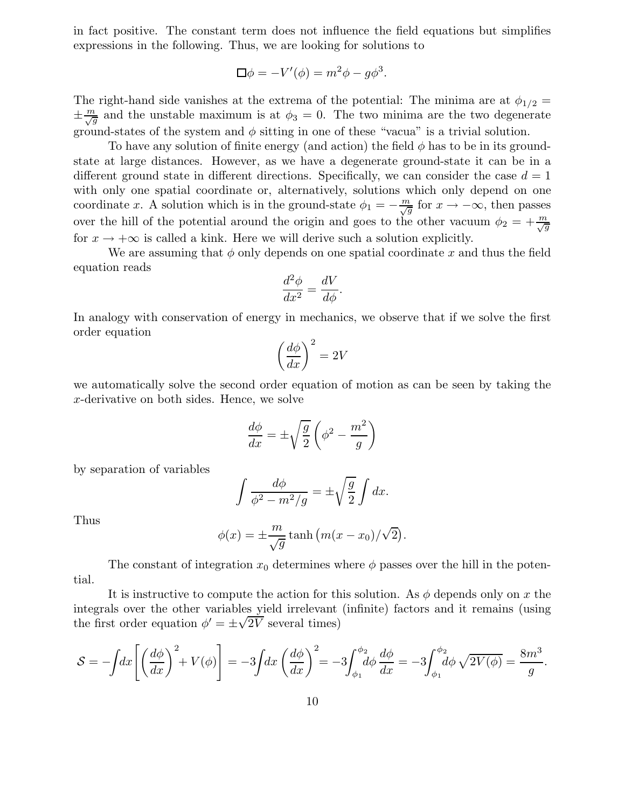in fact positive. The constant term does not influence the field equations but simplifies expressions in the following. Thus, we are looking for solutions to

$$
\Box \phi = -V'(\phi) = m^2 \phi - g\phi^3.
$$

The right-hand side vanishes at the extrema of the potential: The minima are at  $\phi_{1/2} =$  $\pm \frac{m}{\sqrt{g}}$  and the unstable maximum is at  $\phi_3 = 0$ . The two minima are the two degenerate ground-states of the system and  $\phi$  sitting in one of these "vacua" is a trivial solution.

To have any solution of finite energy (and action) the field  $\phi$  has to be in its groundstate at large distances. However, as we have a degenerate ground-state it can be in a different ground state in different directions. Specifically, we can consider the case  $d = 1$ with only one spatial coordinate or, alternatively, solutions which only depend on one coordinate x. A solution which is in the ground-state  $\phi_1 = -\frac{m}{\sqrt{g}}$  for  $x \to -\infty$ , then passes over the hill of the potential around the origin and goes to the other vacuum  $\phi_2 = +\frac{m}{\sqrt{g}}$ for  $x \to +\infty$  is called a kink. Here we will derive such a solution explicitly.

We are assuming that  $\phi$  only depends on one spatial coordinate x and thus the field equation reads

$$
\frac{d^2\phi}{dx^2} = \frac{dV}{d\phi}.
$$

In analogy with conservation of energy in mechanics, we observe that if we solve the first order equation

$$
\left(\frac{d\phi}{dx}\right)^2 = 2V
$$

we automatically solve the second order equation of motion as can be seen by taking the x-derivative on both sides. Hence, we solve

$$
\frac{d\phi}{dx} = \pm \sqrt{\frac{g}{2}} \left( \phi^2 - \frac{m^2}{g} \right)
$$

by separation of variables

$$
\int \frac{d\phi}{\phi^2 - m^2/g} = \pm \sqrt{\frac{g}{2}} \int dx.
$$

Thus

$$
\phi(x) = \pm \frac{m}{\sqrt{g}} \tanh (m(x - x_0)/\sqrt{2}).
$$

The constant of integration  $x_0$  determines where  $\phi$  passes over the hill in the potential.

It is instructive to compute the action for this solution. As  $\phi$  depends only on x the integrals over the other variables yield irrelevant (infinite) factors and it remains (using the first order equation  $\phi' = \pm \sqrt{2V}$  several times)

$$
S = -\int dx \left[ \left( \frac{d\phi}{dx} \right)^2 + V(\phi) \right] = -3 \int dx \left( \frac{d\phi}{dx} \right)^2 = -3 \int_{\phi_1}^{\phi_2} d\phi \frac{d\phi}{dx} = -3 \int_{\phi_1}^{\phi_2} d\phi \sqrt{2V(\phi)} = \frac{8m^3}{g}.
$$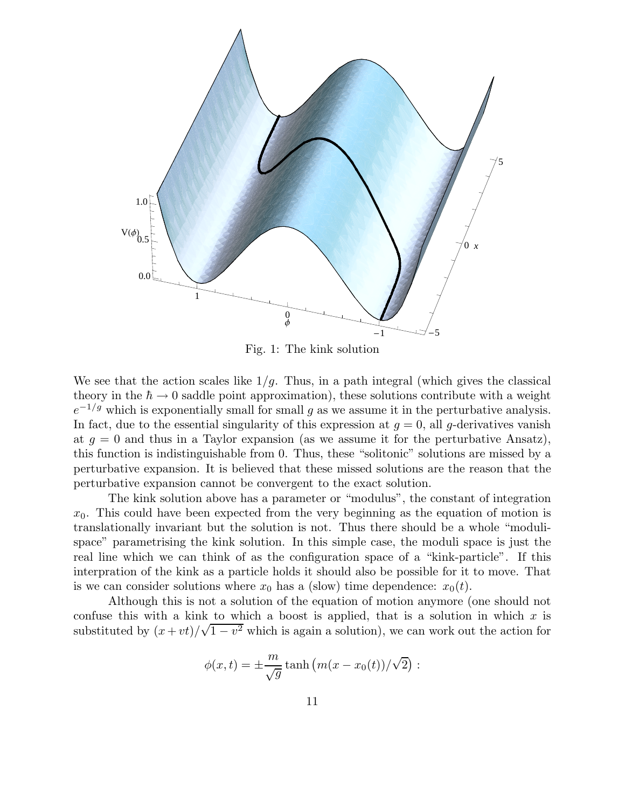

Fig. 1: The kink solution

We see that the action scales like  $1/g$ . Thus, in a path integral (which gives the classical theory in the  $\hbar \to 0$  saddle point approximation), these solutions contribute with a weight  $e^{-1/g}$  which is exponentially small for small g as we assume it in the perturbative analysis. In fact, due to the essential singularity of this expression at  $g = 0$ , all g-derivatives vanish at  $q = 0$  and thus in a Taylor expansion (as we assume it for the perturbative Ansatz), this function is indistinguishable from 0. Thus, these "solitonic" solutions are missed by a perturbative expansion. It is believed that these missed solutions are the reason that the perturbative expansion cannot be convergent to the exact solution.

The kink solution above has a parameter or "modulus", the constant of integration  $x<sub>0</sub>$ . This could have been expected from the very beginning as the equation of motion is translationally invariant but the solution is not. Thus there should be a whole "modulispace" parametrising the kink solution. In this simple case, the moduli space is just the real line which we can think of as the configuration space of a "kink-particle". If this interpration of the kink as a particle holds it should also be possible for it to move. That is we can consider solutions where  $x_0$  has a (slow) time dependence:  $x_0(t)$ .

Although this is not a solution of the equation of motion anymore (one should not confuse this with a kink to which a boost is applied, that is a solution in which x is substituted by  $(x + vt)/\sqrt{1 - v^2}$  which is again a solution), we can work out the action for

$$
\phi(x,t) = \pm \frac{m}{\sqrt{g}} \tanh \left( m(x - x_0(t))/\sqrt{2} \right) :
$$